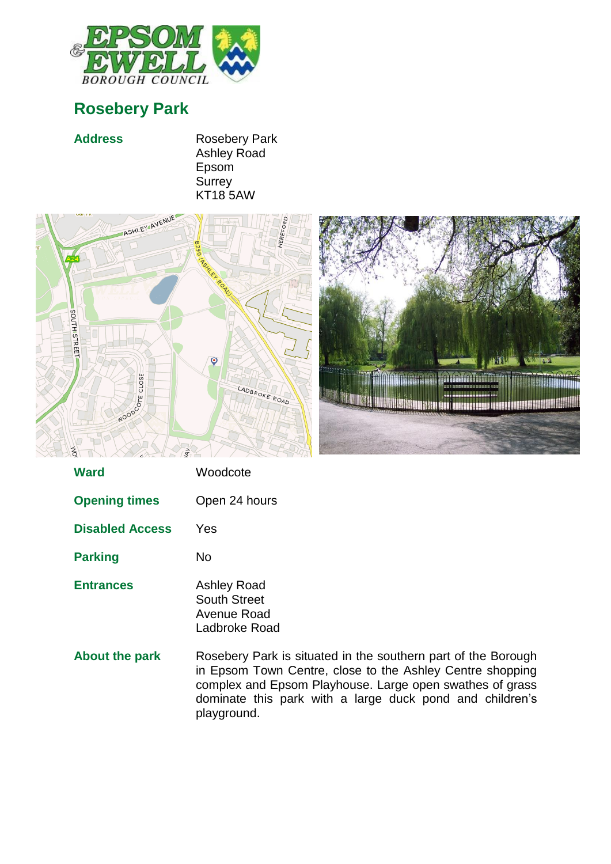

## **Rosebery Park**

## Address Rosebery Park Ashley Road Epsom **Surrey** KT18 5AW



| Ward                   | Woodcote                                                                  |
|------------------------|---------------------------------------------------------------------------|
| <b>Opening times</b>   | Open 24 hours                                                             |
| <b>Disabled Access</b> | Yes                                                                       |
| <b>Parking</b>         | No                                                                        |
| <b>Entrances</b>       | <b>Ashley Road</b><br><b>South Street</b><br>Avenue Road<br>Ladbroke Road |
| <b>About the park</b>  | Rosebery Park is<br>in Epsom Town C<br>complex and Ener                   |

situated in the southern part of the Borough Centre, close to the Ashley Centre shopping complex and Epsom Playhouse. Large open swathes of grass dominate this park with a large duck pond and children's playground.